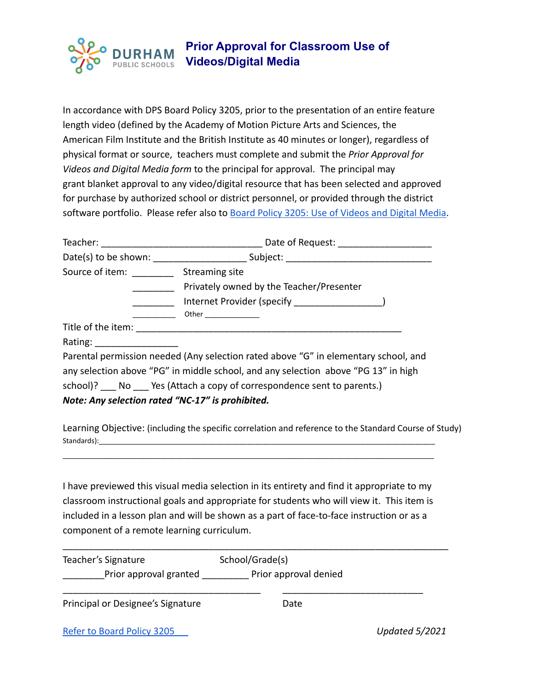## **Prior Approval for Classroom Use of DURHAM Videos/Digital Media** PUBLIC SCHOOLS

In accordance with DPS Board Policy 3205, prior to the presentation of an entire feature length video (defined by the Academy of Motion Picture Arts and Sciences, the American Film Institute and the British Institute as 40 minutes or longer), regardless of physical format or source, teachers must complete and submit the *Prior Approval for Videos and Digital Media form* to the principal for approval. The principal may grant blanket approval to any video/digital resource that has been selected and approved for purchase by authorized school or district personnel, or provided through the district software portfolio. Please refer also to Board Policy [3205: Use of Videos and Digital Media.](https://boardpolicyonline.com/bl/?b=dps_new#&&hs=1008804)

|                                                  | Date of Request: _____________________                                              |  |
|--------------------------------------------------|-------------------------------------------------------------------------------------|--|
|                                                  |                                                                                     |  |
| Source of item: Streaming site                   |                                                                                     |  |
|                                                  | Privately owned by the Teacher/Presenter                                            |  |
|                                                  |                                                                                     |  |
|                                                  |                                                                                     |  |
|                                                  |                                                                                     |  |
| Rating: _______________                          |                                                                                     |  |
|                                                  | Parental permission needed (Any selection rated above "G" in elementary school, and |  |
|                                                  | any selection above "PG" in middle school, and any selection above "PG 13" in high  |  |
|                                                  | school)? No Yes (Attach a copy of correspondence sent to parents.)                  |  |
| Note: Any selection rated "NC-17" is prohibited. |                                                                                     |  |

Learning Objective: (including the specific correlation and reference to the Standard Course of Study) Standards):\_\_\_\_\_\_\_\_\_\_\_\_\_\_\_\_\_\_\_\_\_\_\_\_\_\_\_\_\_\_\_\_\_\_\_\_\_\_\_\_\_\_\_\_\_\_\_\_\_\_\_\_\_\_\_\_\_\_\_\_\_\_\_\_\_\_\_\_\_\_\_\_\_\_\_\_\_\_\_\_\_\_\_\_\_\_

I have previewed this visual media selection in its entirety and find it appropriate to my classroom instructional goals and appropriate for students who will view it. This item is included in a lesson plan and will be shown as a part of face-to-face instruction or as a component of a remote learning curriculum.

\_\_\_\_\_\_\_\_\_\_\_\_\_\_\_\_\_\_\_\_\_\_\_\_\_\_\_\_\_\_\_\_\_\_\_\_\_\_\_\_\_\_\_\_\_\_\_\_\_\_\_\_\_\_\_\_\_\_\_\_\_\_\_\_\_\_\_\_\_\_\_\_\_\_\_\_\_\_\_\_\_\_\_\_\_\_\_\_\_\_\_\_\_\_\_

| Teacher's Signature               | School/Grade(s)       |                |
|-----------------------------------|-----------------------|----------------|
| Prior approval granted            | Prior approval denied |                |
| Principal or Designee's Signature | Date                  |                |
| Refer to Board Policy 3205        |                       | Updated 5/2021 |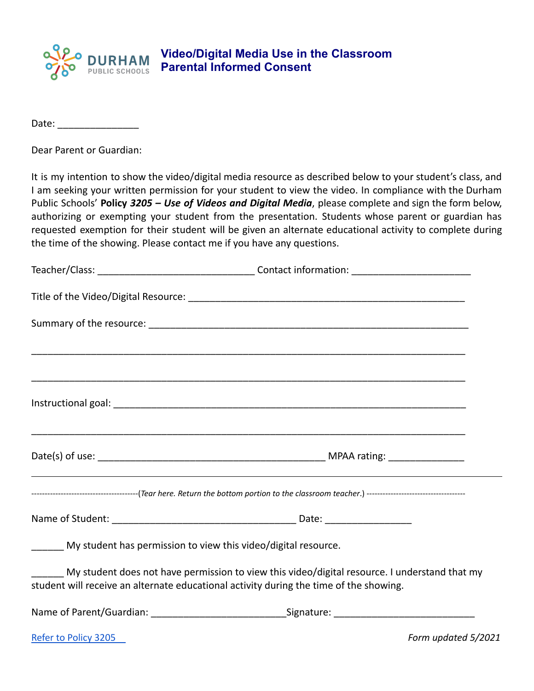

## **Video/Digital Media Use in the Classroom Parental Informed Consent**

Date:  $\Box$ 

Dear Parent or Guardian:

It is my intention to show the video/digital media resource as described below to your student's class, and I am seeking your written permission for your student to view the video. In compliance with the Durham Public Schools' **Policy** *3205 – Use of Videos and Digital Media*, please complete and sign the form below, authorizing or exempting your student from the presentation. Students whose parent or guardian has requested exemption for their student will be given an alternate educational activity to complete during the time of the showing. Please contact me if you have any questions.

| _____ My student has permission to view this video/digital resource.                   |                                                                                               |
|----------------------------------------------------------------------------------------|-----------------------------------------------------------------------------------------------|
| student will receive an alternate educational activity during the time of the showing. | My student does not have permission to view this video/digital resource. I understand that my |
|                                                                                        |                                                                                               |

[Refer to Policy 3205](https://boardpolicyonline.com/bl/?b=dps_new#&&hs=1008804) *Form updated 5/2021*